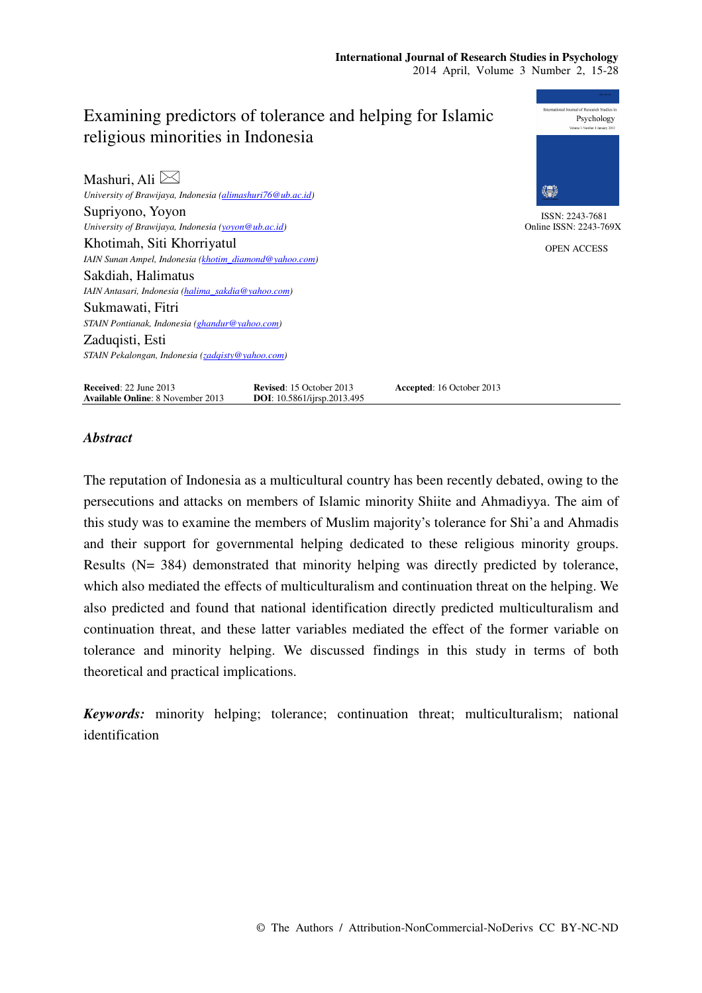

# *Abstract*

The reputation of Indonesia as a multicultural country has been recently debated, owing to the persecutions and attacks on members of Islamic minority Shiite and Ahmadiyya. The aim of this study was to examine the members of Muslim majority's tolerance for Shi'a and Ahmadis and their support for governmental helping dedicated to these religious minority groups. Results (N= 384) demonstrated that minority helping was directly predicted by tolerance, which also mediated the effects of multiculturalism and continuation threat on the helping. We also predicted and found that national identification directly predicted multiculturalism and continuation threat, and these latter variables mediated the effect of the former variable on tolerance and minority helping. We discussed findings in this study in terms of both theoretical and practical implications.

*Keywords:* minority helping; tolerance; continuation threat; multiculturalism; national identification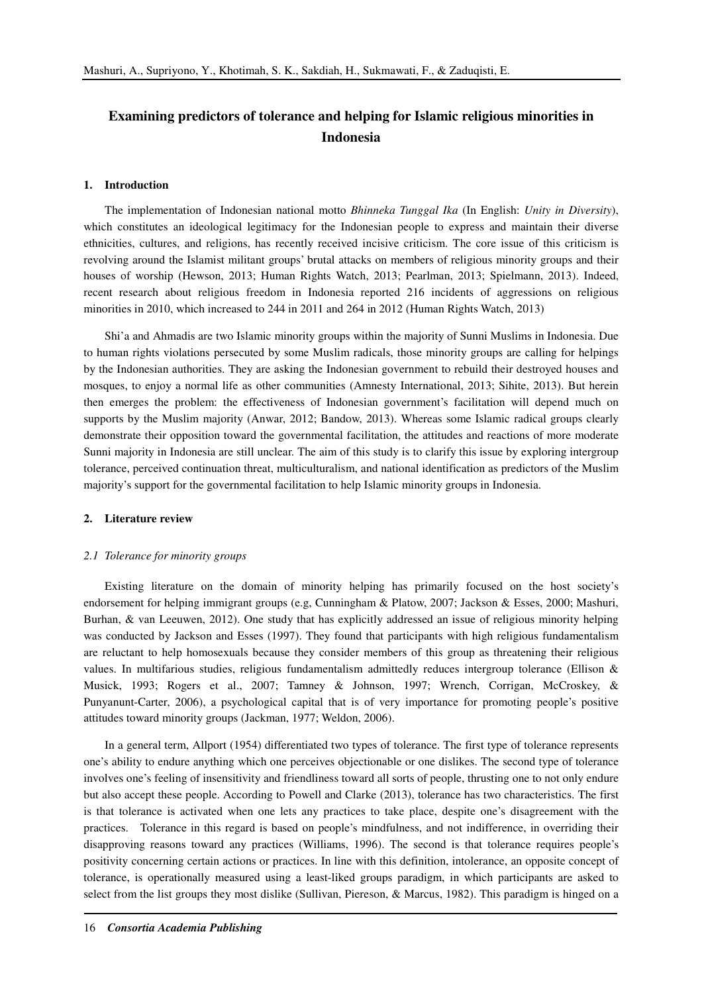# **Examining predictors of tolerance and helping for Islamic religious minorities in Indonesia**

## **1. Introduction**

The implementation of Indonesian national motto *Bhinneka Tunggal Ika* (In English: *Unity in Diversity*), which constitutes an ideological legitimacy for the Indonesian people to express and maintain their diverse ethnicities, cultures, and religions, has recently received incisive criticism. The core issue of this criticism is revolving around the Islamist militant groups' brutal attacks on members of religious minority groups and their houses of worship (Hewson, 2013; Human Rights Watch, 2013; Pearlman, 2013; Spielmann, 2013). Indeed, recent research about religious freedom in Indonesia reported 216 incidents of aggressions on religious minorities in 2010, which increased to 244 in 2011 and 264 in 2012 (Human Rights Watch, 2013)

Shi'a and Ahmadis are two Islamic minority groups within the majority of Sunni Muslims in Indonesia. Due to human rights violations persecuted by some Muslim radicals, those minority groups are calling for helpings by the Indonesian authorities. They are asking the Indonesian government to rebuild their destroyed houses and mosques, to enjoy a normal life as other communities (Amnesty International, 2013; Sihite, 2013). But herein then emerges the problem: the effectiveness of Indonesian government's facilitation will depend much on supports by the Muslim majority (Anwar, 2012; Bandow, 2013). Whereas some Islamic radical groups clearly demonstrate their opposition toward the governmental facilitation, the attitudes and reactions of more moderate Sunni majority in Indonesia are still unclear. The aim of this study is to clarify this issue by exploring intergroup tolerance, perceived continuation threat, multiculturalism, and national identification as predictors of the Muslim majority's support for the governmental facilitation to help Islamic minority groups in Indonesia.

#### **2. Literature review**

## *2.1 Tolerance for minority groups*

Existing literature on the domain of minority helping has primarily focused on the host society's endorsement for helping immigrant groups (e.g, Cunningham & Platow, 2007; Jackson & Esses, 2000; Mashuri, Burhan, & van Leeuwen, 2012). One study that has explicitly addressed an issue of religious minority helping was conducted by Jackson and Esses (1997). They found that participants with high religious fundamentalism are reluctant to help homosexuals because they consider members of this group as threatening their religious values. In multifarious studies, religious fundamentalism admittedly reduces intergroup tolerance (Ellison & Musick, 1993; Rogers et al., 2007; Tamney & Johnson, 1997; Wrench, Corrigan, McCroskey, & Punyanunt-Carter, 2006), a psychological capital that is of very importance for promoting people's positive attitudes toward minority groups (Jackman, 1977; Weldon, 2006).

In a general term, Allport (1954) differentiated two types of tolerance. The first type of tolerance represents one's ability to endure anything which one perceives objectionable or one dislikes. The second type of tolerance involves one's feeling of insensitivity and friendliness toward all sorts of people, thrusting one to not only endure but also accept these people. According to Powell and Clarke (2013), tolerance has two characteristics. The first is that tolerance is activated when one lets any practices to take place, despite one's disagreement with the practices. Tolerance in this regard is based on people's mindfulness, and not indifference, in overriding their disapproving reasons toward any practices (Williams, 1996). The second is that tolerance requires people's positivity concerning certain actions or practices. In line with this definition, intolerance, an opposite concept of tolerance, is operationally measured using a least-liked groups paradigm, in which participants are asked to select from the list groups they most dislike (Sullivan, Piereson, & Marcus, 1982). This paradigm is hinged on a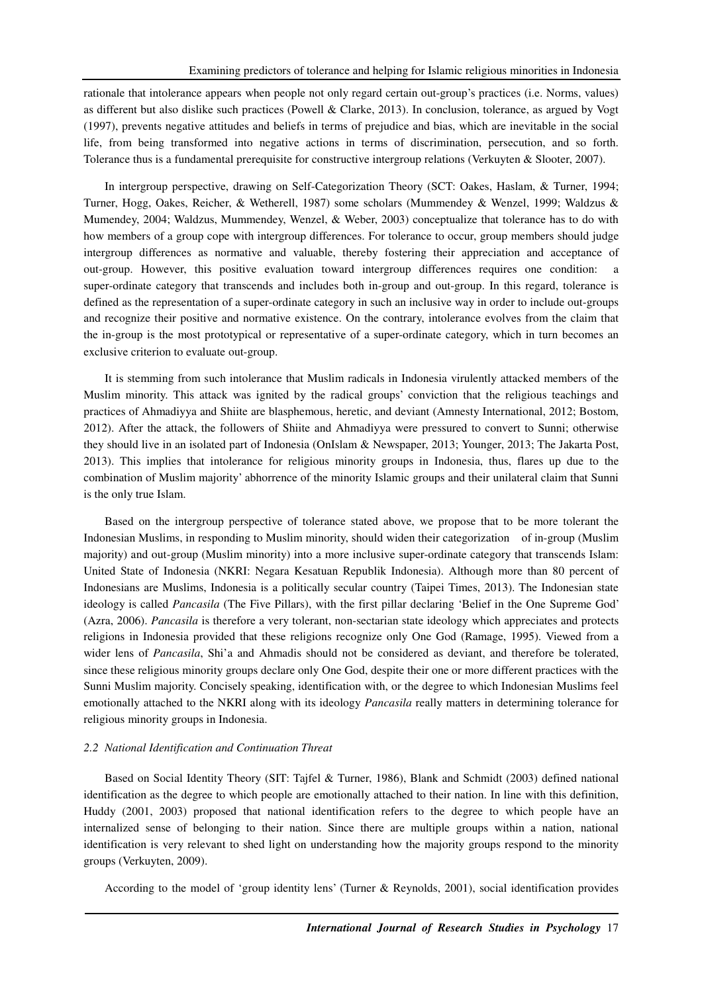rationale that intolerance appears when people not only regard certain out-group's practices (i.e. Norms, values) as different but also dislike such practices (Powell & Clarke, 2013). In conclusion, tolerance, as argued by Vogt (1997), prevents negative attitudes and beliefs in terms of prejudice and bias, which are inevitable in the social life, from being transformed into negative actions in terms of discrimination, persecution, and so forth. Tolerance thus is a fundamental prerequisite for constructive intergroup relations (Verkuyten & Slooter, 2007).

In intergroup perspective, drawing on Self-Categorization Theory (SCT: Oakes, Haslam, & Turner, 1994; Turner, Hogg, Oakes, Reicher, & Wetherell, 1987) some scholars (Mummendey & Wenzel, 1999; Waldzus & Mumendey, 2004; Waldzus, Mummendey, Wenzel, & Weber, 2003) conceptualize that tolerance has to do with how members of a group cope with intergroup differences. For tolerance to occur, group members should judge intergroup differences as normative and valuable, thereby fostering their appreciation and acceptance of out-group. However, this positive evaluation toward intergroup differences requires one condition: a super-ordinate category that transcends and includes both in-group and out-group. In this regard, tolerance is defined as the representation of a super-ordinate category in such an inclusive way in order to include out-groups and recognize their positive and normative existence. On the contrary, intolerance evolves from the claim that the in-group is the most prototypical or representative of a super-ordinate category, which in turn becomes an exclusive criterion to evaluate out-group.

It is stemming from such intolerance that Muslim radicals in Indonesia virulently attacked members of the Muslim minority. This attack was ignited by the radical groups' conviction that the religious teachings and practices of Ahmadiyya and Shiite are blasphemous, heretic, and deviant (Amnesty International, 2012; Bostom, 2012). After the attack, the followers of Shiite and Ahmadiyya were pressured to convert to Sunni; otherwise they should live in an isolated part of Indonesia (OnIslam & Newspaper, 2013; Younger, 2013; The Jakarta Post, 2013). This implies that intolerance for religious minority groups in Indonesia, thus, flares up due to the combination of Muslim majority' abhorrence of the minority Islamic groups and their unilateral claim that Sunni is the only true Islam.

Based on the intergroup perspective of tolerance stated above, we propose that to be more tolerant the Indonesian Muslims, in responding to Muslim minority, should widen their categorization of in-group (Muslim majority) and out-group (Muslim minority) into a more inclusive super-ordinate category that transcends Islam: United State of Indonesia (NKRI: Negara Kesatuan Republik Indonesia). Although more than 80 percent of Indonesians are Muslims, Indonesia is a politically secular country (Taipei Times, 2013). The Indonesian state ideology is called *Pancasila* (The Five Pillars), with the first pillar declaring 'Belief in the One Supreme God' (Azra, 2006). *Pancasila* is therefore a very tolerant, non-sectarian state ideology which appreciates and protects religions in Indonesia provided that these religions recognize only One God (Ramage, 1995). Viewed from a wider lens of *Pancasila*, Shi'a and Ahmadis should not be considered as deviant, and therefore be tolerated, since these religious minority groups declare only One God, despite their one or more different practices with the Sunni Muslim majority. Concisely speaking, identification with, or the degree to which Indonesian Muslims feel emotionally attached to the NKRI along with its ideology *Pancasila* really matters in determining tolerance for religious minority groups in Indonesia.

## *2.2 National Identification and Continuation Threat*

Based on Social Identity Theory (SIT: Tajfel & Turner, 1986), Blank and Schmidt (2003) defined national identification as the degree to which people are emotionally attached to their nation. In line with this definition, Huddy (2001, 2003) proposed that national identification refers to the degree to which people have an internalized sense of belonging to their nation. Since there are multiple groups within a nation, national identification is very relevant to shed light on understanding how the majority groups respond to the minority groups (Verkuyten, 2009).

According to the model of 'group identity lens' (Turner & Reynolds, 2001), social identification provides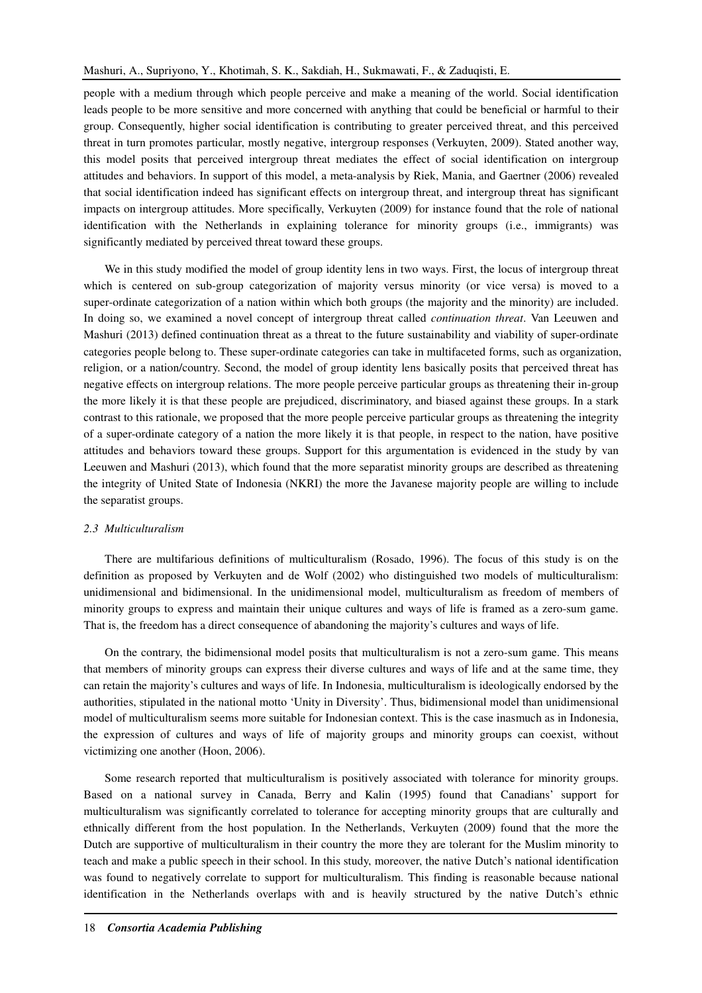people with a medium through which people perceive and make a meaning of the world. Social identification leads people to be more sensitive and more concerned with anything that could be beneficial or harmful to their group. Consequently, higher social identification is contributing to greater perceived threat, and this perceived threat in turn promotes particular, mostly negative, intergroup responses (Verkuyten, 2009). Stated another way, this model posits that perceived intergroup threat mediates the effect of social identification on intergroup attitudes and behaviors. In support of this model, a meta-analysis by Riek, Mania, and Gaertner (2006) revealed that social identification indeed has significant effects on intergroup threat, and intergroup threat has significant impacts on intergroup attitudes. More specifically, Verkuyten (2009) for instance found that the role of national identification with the Netherlands in explaining tolerance for minority groups (i.e., immigrants) was significantly mediated by perceived threat toward these groups.

We in this study modified the model of group identity lens in two ways. First, the locus of intergroup threat which is centered on sub-group categorization of majority versus minority (or vice versa) is moved to a super-ordinate categorization of a nation within which both groups (the majority and the minority) are included. In doing so, we examined a novel concept of intergroup threat called *continuation threat*. Van Leeuwen and Mashuri (2013) defined continuation threat as a threat to the future sustainability and viability of super-ordinate categories people belong to. These super-ordinate categories can take in multifaceted forms, such as organization, religion, or a nation/country. Second, the model of group identity lens basically posits that perceived threat has negative effects on intergroup relations. The more people perceive particular groups as threatening their in-group the more likely it is that these people are prejudiced, discriminatory, and biased against these groups. In a stark contrast to this rationale, we proposed that the more people perceive particular groups as threatening the integrity of a super-ordinate category of a nation the more likely it is that people, in respect to the nation, have positive attitudes and behaviors toward these groups. Support for this argumentation is evidenced in the study by van Leeuwen and Mashuri (2013), which found that the more separatist minority groups are described as threatening the integrity of United State of Indonesia (NKRI) the more the Javanese majority people are willing to include the separatist groups.

#### *2.3 Multiculturalism*

There are multifarious definitions of multiculturalism (Rosado, 1996). The focus of this study is on the definition as proposed by Verkuyten and de Wolf (2002) who distinguished two models of multiculturalism: unidimensional and bidimensional. In the unidimensional model, multiculturalism as freedom of members of minority groups to express and maintain their unique cultures and ways of life is framed as a zero-sum game. That is, the freedom has a direct consequence of abandoning the majority's cultures and ways of life.

On the contrary, the bidimensional model posits that multiculturalism is not a zero-sum game. This means that members of minority groups can express their diverse cultures and ways of life and at the same time, they can retain the majority's cultures and ways of life. In Indonesia, multiculturalism is ideologically endorsed by the authorities, stipulated in the national motto 'Unity in Diversity'. Thus, bidimensional model than unidimensional model of multiculturalism seems more suitable for Indonesian context. This is the case inasmuch as in Indonesia, the expression of cultures and ways of life of majority groups and minority groups can coexist, without victimizing one another (Hoon, 2006).

Some research reported that multiculturalism is positively associated with tolerance for minority groups. Based on a national survey in Canada, Berry and Kalin (1995) found that Canadians' support for multiculturalism was significantly correlated to tolerance for accepting minority groups that are culturally and ethnically different from the host population. In the Netherlands, Verkuyten (2009) found that the more the Dutch are supportive of multiculturalism in their country the more they are tolerant for the Muslim minority to teach and make a public speech in their school. In this study, moreover, the native Dutch's national identification was found to negatively correlate to support for multiculturalism. This finding is reasonable because national identification in the Netherlands overlaps with and is heavily structured by the native Dutch's ethnic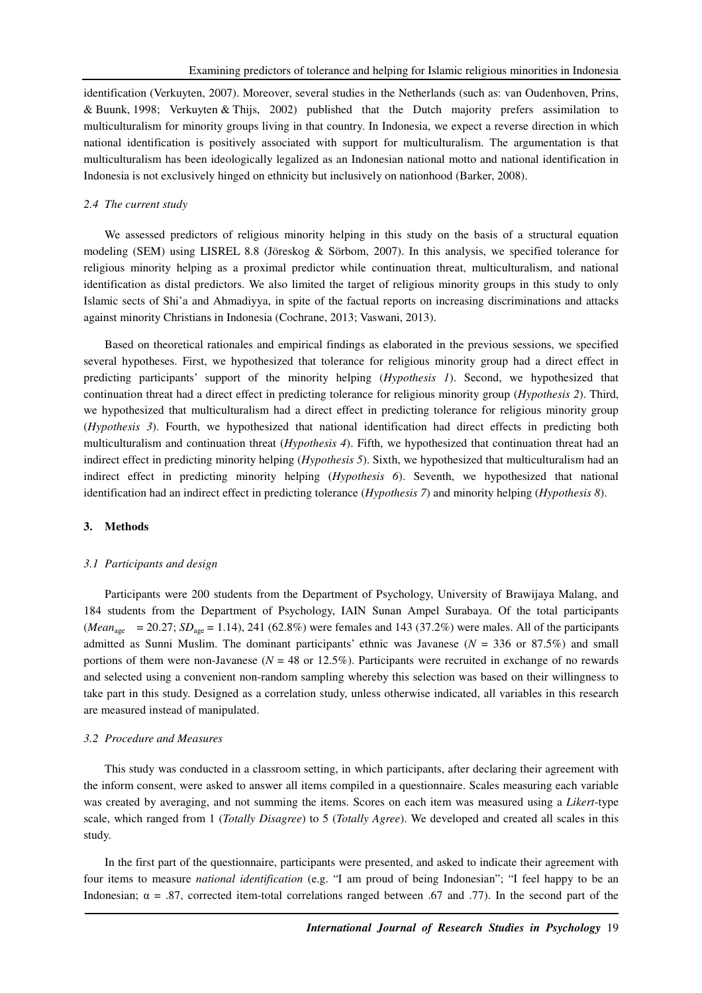identification (Verkuyten, 2007). Moreover, several studies in the Netherlands (such as: van Oudenhoven, Prins, & Buunk, 1998; Verkuyten & Thijs, 2002) published that the Dutch majority prefers assimilation to multiculturalism for minority groups living in that country. In Indonesia, we expect a reverse direction in which national identification is positively associated with support for multiculturalism. The argumentation is that multiculturalism has been ideologically legalized as an Indonesian national motto and national identification in Indonesia is not exclusively hinged on ethnicity but inclusively on nationhood (Barker, 2008).

## *2.4 The current study*

We assessed predictors of religious minority helping in this study on the basis of a structural equation modeling (SEM) using LISREL 8.8 (Jöreskog & Sörbom, 2007). In this analysis, we specified tolerance for religious minority helping as a proximal predictor while continuation threat, multiculturalism, and national identification as distal predictors. We also limited the target of religious minority groups in this study to only Islamic sects of Shi'a and Ahmadiyya, in spite of the factual reports on increasing discriminations and attacks against minority Christians in Indonesia (Cochrane, 2013; Vaswani, 2013).

Based on theoretical rationales and empirical findings as elaborated in the previous sessions, we specified several hypotheses. First, we hypothesized that tolerance for religious minority group had a direct effect in predicting participants' support of the minority helping (*Hypothesis 1*). Second, we hypothesized that continuation threat had a direct effect in predicting tolerance for religious minority group (*Hypothesis 2*). Third, we hypothesized that multiculturalism had a direct effect in predicting tolerance for religious minority group (*Hypothesis 3*). Fourth, we hypothesized that national identification had direct effects in predicting both multiculturalism and continuation threat (*Hypothesis 4*). Fifth, we hypothesized that continuation threat had an indirect effect in predicting minority helping (*Hypothesis 5*). Sixth, we hypothesized that multiculturalism had an indirect effect in predicting minority helping (*Hypothesis 6*). Seventh, we hypothesized that national identification had an indirect effect in predicting tolerance (*Hypothesis 7*) and minority helping (*Hypothesis 8*).

## **3. Methods**

#### *3.1 Participants and design*

Participants were 200 students from the Department of Psychology, University of Brawijaya Malang, and 184 students from the Department of Psychology, IAIN Sunan Ampel Surabaya. Of the total participants (*Mean*<sub>age</sub> = 20.27; *SD*<sub>age</sub> = 1.14), 241 (62.8%) were females and 143 (37.2%) were males. All of the participants admitted as Sunni Muslim. The dominant participants' ethnic was Javanese (*N* = 336 or 87.5%) and small portions of them were non-Javanese ( $N = 48$  or 12.5%). Participants were recruited in exchange of no rewards and selected using a convenient non-random sampling whereby this selection was based on their willingness to take part in this study. Designed as a correlation study, unless otherwise indicated, all variables in this research are measured instead of manipulated.

## *3.2 Procedure and Measures*

This study was conducted in a classroom setting, in which participants, after declaring their agreement with the inform consent, were asked to answer all items compiled in a questionnaire. Scales measuring each variable was created by averaging, and not summing the items. Scores on each item was measured using a *Likert*-type scale, which ranged from 1 (*Totally Disagree*) to 5 (*Totally Agree*). We developed and created all scales in this study.

In the first part of the questionnaire, participants were presented, and asked to indicate their agreement with four items to measure *national identification* (e.g. "I am proud of being Indonesian"; "I feel happy to be an Indonesian;  $\alpha = .87$ , corrected item-total correlations ranged between .67 and .77). In the second part of the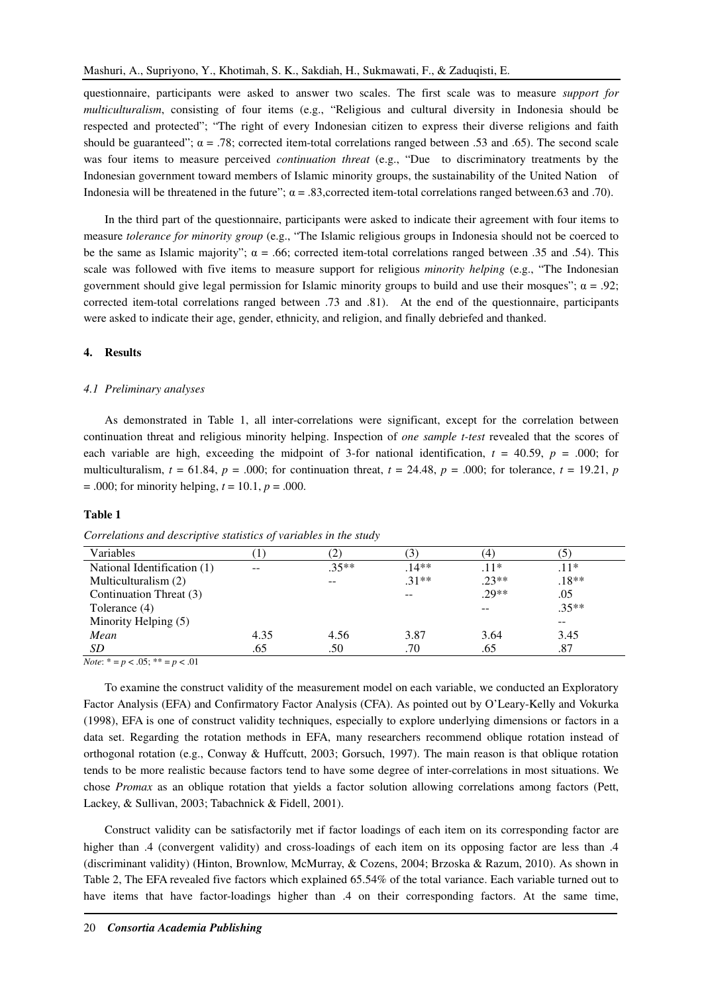questionnaire, participants were asked to answer two scales. The first scale was to measure *support for multiculturalism*, consisting of four items (e.g., "Religious and cultural diversity in Indonesia should be respected and protected"; "The right of every Indonesian citizen to express their diverse religions and faith should be guaranteed";  $\alpha = .78$ ; corrected item-total correlations ranged between .53 and .65). The second scale was four items to measure perceived *continuation threat* (e.g., "Due to discriminatory treatments by the Indonesian government toward members of Islamic minority groups, the sustainability of the United Nation of Indonesia will be threatened in the future";  $\alpha = .83$ , corrected item-total correlations ranged between.63 and .70).

In the third part of the questionnaire, participants were asked to indicate their agreement with four items to measure *tolerance for minority group* (e.g., "The Islamic religious groups in Indonesia should not be coerced to be the same as Islamic majority";  $\alpha = .66$ ; corrected item-total correlations ranged between .35 and .54). This scale was followed with five items to measure support for religious *minority helping* (e.g., "The Indonesian government should give legal permission for Islamic minority groups to build and use their mosques";  $\alpha = .92$ ; corrected item-total correlations ranged between .73 and .81). At the end of the questionnaire, participants were asked to indicate their age, gender, ethnicity, and religion, and finally debriefed and thanked.

## **4. Results**

#### *4.1 Preliminary analyses*

As demonstrated in Table 1, all inter-correlations were significant, except for the correlation between continuation threat and religious minority helping. Inspection of *one sample t-test* revealed that the scores of each variable are high, exceeding the midpoint of 3-for national identification,  $t = 40.59$ ,  $p = .000$ ; for multiculturalism,  $t = 61.84$ ,  $p = .000$ ; for continuation threat,  $t = 24.48$ ,  $p = .000$ ; for tolerance,  $t = 19.21$ ,  $p = .000$ = .000; for minority helping, *t* = 10.1, *p* = .000.

## **Table 1**

| Variables                   |      |         |         | $4 \,$  |         |  |
|-----------------------------|------|---------|---------|---------|---------|--|
| National Identification (1) | --   | $.35**$ | $.14**$ | $.11*$  | $.11*$  |  |
| Multiculturalism (2)        |      | $- -$   | $.31**$ | $.23**$ | $.18**$ |  |
| Continuation Threat (3)     |      |         | --      | $.29**$ | .05     |  |
| Tolerance (4)               |      |         |         | --      | $.35**$ |  |
| Minority Helping (5)        |      |         |         |         | $- -$   |  |
| Mean                        | 4.35 | 4.56    | 3.87    | 3.64    | 3.45    |  |
| SD                          | .65  | .50     | .70     | .65     | .87     |  |

*Correlations and descriptive statistics of variables in the study* 

*Note*:  $* = p < .05$ ;  $** = p < .01$ 

To examine the construct validity of the measurement model on each variable, we conducted an Exploratory Factor Analysis (EFA) and Confirmatory Factor Analysis (CFA). As pointed out by O'Leary-Kelly and Vokurka (1998), EFA is one of construct validity techniques, especially to explore underlying dimensions or factors in a data set. Regarding the rotation methods in EFA, many researchers recommend oblique rotation instead of orthogonal rotation (e.g., Conway & Huffcutt, 2003; Gorsuch, 1997). The main reason is that oblique rotation tends to be more realistic because factors tend to have some degree of inter-correlations in most situations. We chose *Promax* as an oblique rotation that yields a factor solution allowing correlations among factors (Pett, Lackey, & Sullivan, 2003; Tabachnick & Fidell, 2001).

Construct validity can be satisfactorily met if factor loadings of each item on its corresponding factor are higher than .4 (convergent validity) and cross-loadings of each item on its opposing factor are less than .4 (discriminant validity) (Hinton, Brownlow, McMurray, & Cozens, 2004; Brzoska & Razum, 2010). As shown in Table 2, The EFA revealed five factors which explained 65.54% of the total variance. Each variable turned out to have items that have factor-loadings higher than .4 on their corresponding factors. At the same time,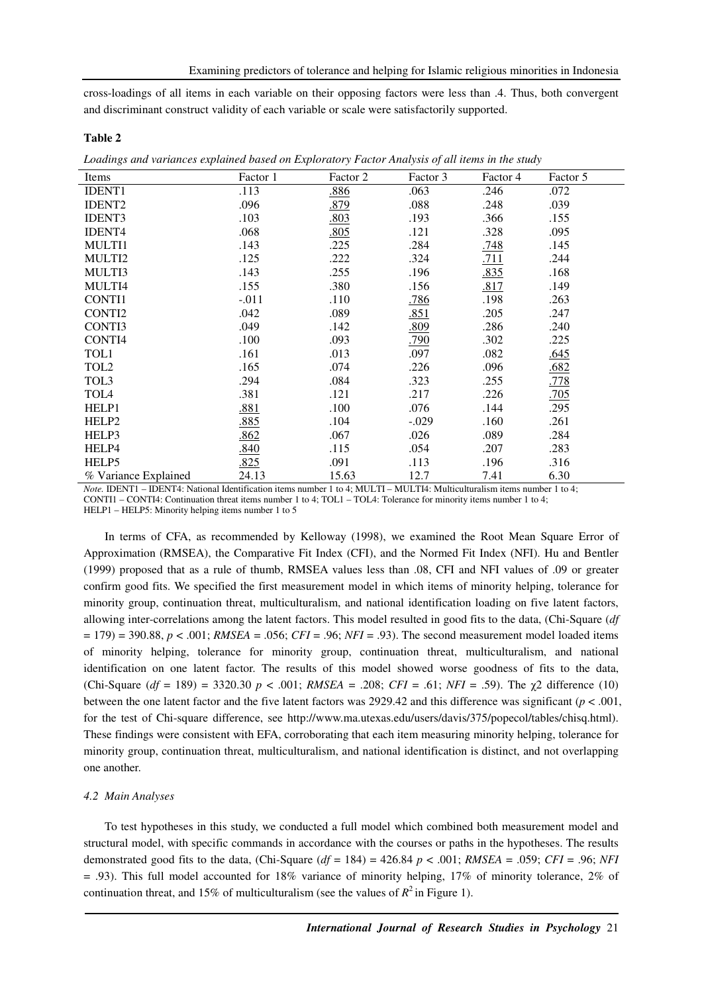cross-loadings of all items in each variable on their opposing factors were less than .4. Thus, both convergent and discriminant construct validity of each variable or scale were satisfactorily supported.

## **Table 2**

| Items                | Factor 1 | Factor 2 | Factor 3 | Factor 4 | Factor 5    |  |
|----------------------|----------|----------|----------|----------|-------------|--|
| <b>IDENT1</b>        | .113     | .886     | .063     | .246     | .072        |  |
| <b>IDENT2</b>        | .096     | .879     | .088     | .248     | .039        |  |
| <b>IDENT3</b>        | .103     | .803     | .193     | .366     | .155        |  |
| <b>IDENT4</b>        | .068     | .805     | .121     | .328     | .095        |  |
| MULTI1               | .143     | .225     | .284     | .748     | .145        |  |
| MULTI2               | .125     | .222     | .324     | .711     | .244        |  |
| MULTI3               | .143     | .255     | .196     | .835     | .168        |  |
| MULTI4               | .155     | .380     | .156     | .817     | .149        |  |
| <b>CONTI1</b>        | $-.011$  | .110     | .786     | .198     | .263        |  |
| CONTI2               | .042     | .089     | .851     | .205     | .247        |  |
| CONTI3               | .049     | .142     | .809     | .286     | .240        |  |
| CONTI4               | .100     | .093     | .790     | .302     | .225        |  |
| TOL1                 | .161     | .013     | .097     | .082     | .645        |  |
| TOL <sub>2</sub>     | .165     | .074     | .226     | .096     | .682        |  |
| TOL3                 | .294     | .084     | .323     | .255     | <u>.778</u> |  |
| TOL4                 | .381     | .121     | .217     | .226     | .705        |  |
| HELP1                | .881     | .100     | .076     | .144     | .295        |  |
| HELP <sub>2</sub>    | .885     | .104     | $-.029$  | .160     | .261        |  |
| HELP3                | .862     | .067     | .026     | .089     | .284        |  |
| HELP4                | .840     | .115     | .054     | .207     | .283        |  |
| HELP5                | .825     | .091     | .113     | .196     | .316        |  |
| % Variance Explained | 24.13    | 15.63    | 12.7     | 7.41     | 6.30        |  |

*Loadings and variances explained based on Exploratory Factor Analysis of all items in the study* 

*Note.* IDENT1 – IDENT4: National Identification items number 1 to 4; MULTI – MULTI4: Multiculturalism items number 1 to 4; CONTI1 – CONTI4: Continuation threat items number 1 to 4; TOL1 – TOL4: Tolerance for minority items number 1 to 4; HELP1 – HELP5: Minority helping items number 1 to 5

In terms of CFA, as recommended by Kelloway (1998), we examined the Root Mean Square Error of Approximation (RMSEA), the Comparative Fit Index (CFI), and the Normed Fit Index (NFI). Hu and Bentler (1999) proposed that as a rule of thumb, RMSEA values less than .08, CFI and NFI values of .09 or greater confirm good fits. We specified the first measurement model in which items of minority helping, tolerance for minority group, continuation threat, multiculturalism, and national identification loading on five latent factors, allowing inter-correlations among the latent factors. This model resulted in good fits to the data, (Chi-Square (*df* = 179) = 390.88, *p* < .001; *RMSEA* = .056; *CFI* = .96; *NFI* = .93). The second measurement model loaded items of minority helping, tolerance for minority group, continuation threat, multiculturalism, and national identification on one latent factor. The results of this model showed worse goodness of fits to the data, (Chi-Square (*df* = 189) = 3320.30 *p* < .001; *RMSEA* = .208; *CFI* = .61; *NFI* = .59). The χ2 difference (10) between the one latent factor and the five latent factors was 2929.42 and this difference was significant (*p* < .001, for the test of Chi-square difference, see http://www.ma.utexas.edu/users/davis/375/popecol/tables/chisq.html). These findings were consistent with EFA, corroborating that each item measuring minority helping, tolerance for minority group, continuation threat, multiculturalism, and national identification is distinct, and not overlapping one another.

### *4.2 Main Analyses*

To test hypotheses in this study, we conducted a full model which combined both measurement model and structural model, with specific commands in accordance with the courses or paths in the hypotheses. The results demonstrated good fits to the data, (Chi-Square (*df* = 184) = 426.84 *p* < .001; *RMSEA* = .059; *CFI* = .96; *NFI* = .93). This full model accounted for 18% variance of minority helping, 17% of minority tolerance, 2% of continuation threat, and 15% of multiculturalism (see the values of  $R^2$  in Figure 1).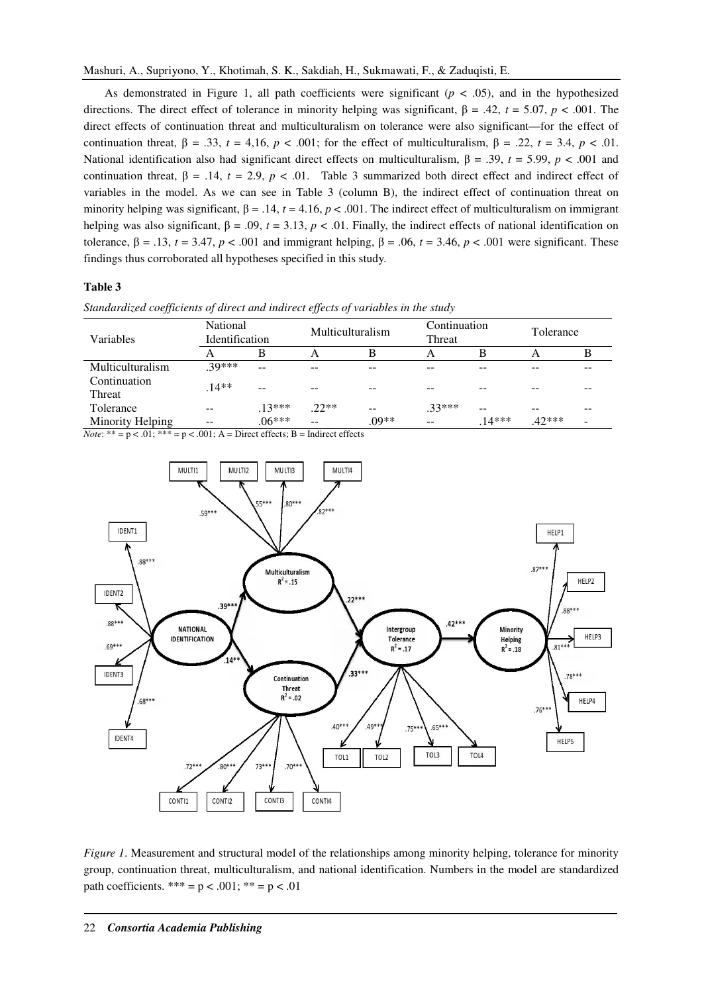As demonstrated in Figure 1, all path coefficients were significant  $(p < .05)$ , and in the hypothesized directions. The direct effect of tolerance in minority helping was significant,  $β = .42, t = 5.07, p < .001$ . The direct effects of continuation threat and multiculturalism on tolerance were also significant—for the effect of continuation threat,  $\beta = .33$ ,  $t = 4.16$ ,  $p < .001$ ; for the effect of multiculturalism,  $\beta = .22$ ,  $t = 3.4$ ,  $p < .01$ . National identification also had significant direct effects on multiculturalism,  $β = .39, t = 5.99, p < .001$  and continuation threat,  $\beta = .14$ ,  $t = 2.9$ ,  $p < .01$ . Table 3 summarized both direct effect and indirect effect of variables in the model. As we can see in Table 3 (column B), the indirect effect of continuation threat on minority helping was significant,  $\beta = .14$ ,  $t = 4.16$ ,  $p < .001$ . The indirect effect of multiculturalism on immigrant helping was also significant,  $\beta = .09$ ,  $t = 3.13$ ,  $p < .01$ . Finally, the indirect effects of national identification on tolerance,  $β = .13$ ,  $t = 3.47$ ,  $p < .001$  and immigrant helping,  $β = .06$ ,  $t = 3.46$ ,  $p < .001$  were significant. These findings thus corroborated all hypotheses specified in this study.

## **Table 3**

*Standardized coefficients of direct and indirect effects of variables in the study* 

|                        | National<br>Identification |          | Multiculturalism |         | Continuation<br>Threat |          | Tolerance |  |
|------------------------|----------------------------|----------|------------------|---------|------------------------|----------|-----------|--|
| Variables              |                            |          |                  |         |                        |          |           |  |
|                        | A                          | В        | A                | B       | А                      | В        | A         |  |
| Multiculturalism       | $30***$                    | --       | --               | --      |                        |          |           |  |
| Continuation<br>Threat | $14**$                     | --       | --               |         |                        |          |           |  |
| Tolerance              | $- -$                      | $13***$  | $.22**$          | $- -$   | $.33***$               | --       |           |  |
| Minority Helping       | --                         | $.06***$ | $-$              | $.09**$ | $- -$                  | $.14***$ | $.42***$  |  |

*Note*: \*\* =  $p < .01$ ; \*\*\* =  $p < .001$ ; A = Direct effects; B = Indirect effects



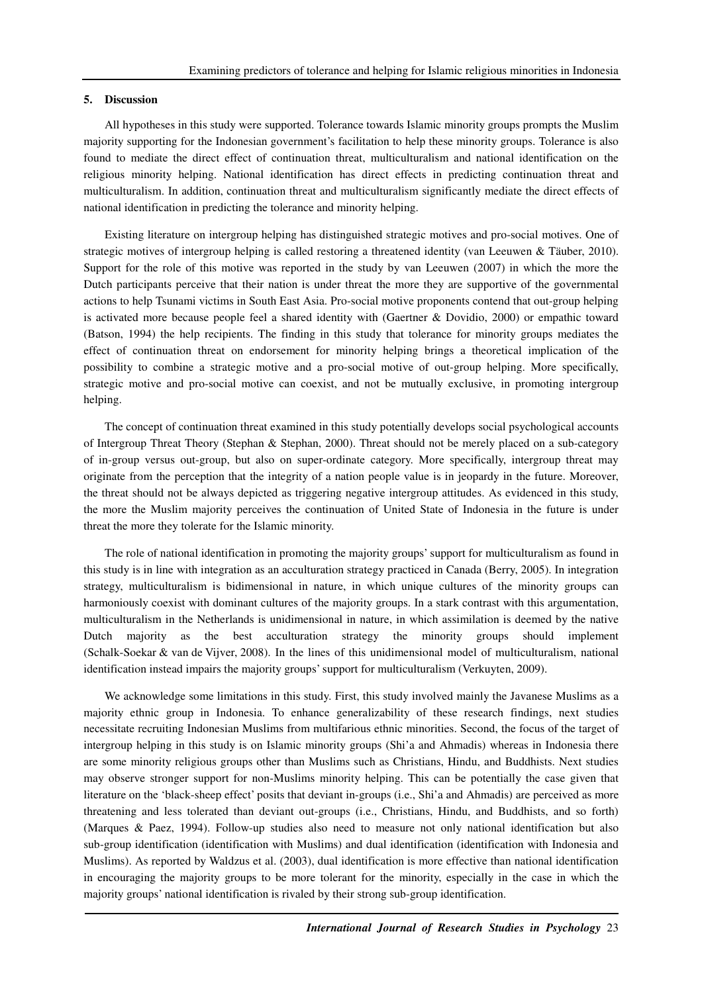#### **5. Discussion**

All hypotheses in this study were supported. Tolerance towards Islamic minority groups prompts the Muslim majority supporting for the Indonesian government's facilitation to help these minority groups. Tolerance is also found to mediate the direct effect of continuation threat, multiculturalism and national identification on the religious minority helping. National identification has direct effects in predicting continuation threat and multiculturalism. In addition, continuation threat and multiculturalism significantly mediate the direct effects of national identification in predicting the tolerance and minority helping.

Existing literature on intergroup helping has distinguished strategic motives and pro-social motives. One of strategic motives of intergroup helping is called restoring a threatened identity (van Leeuwen & Täuber, 2010). Support for the role of this motive was reported in the study by van Leeuwen (2007) in which the more the Dutch participants perceive that their nation is under threat the more they are supportive of the governmental actions to help Tsunami victims in South East Asia. Pro-social motive proponents contend that out-group helping is activated more because people feel a shared identity with (Gaertner & Dovidio, 2000) or empathic toward (Batson, 1994) the help recipients. The finding in this study that tolerance for minority groups mediates the effect of continuation threat on endorsement for minority helping brings a theoretical implication of the possibility to combine a strategic motive and a pro-social motive of out-group helping. More specifically, strategic motive and pro-social motive can coexist, and not be mutually exclusive, in promoting intergroup helping.

The concept of continuation threat examined in this study potentially develops social psychological accounts of Intergroup Threat Theory (Stephan & Stephan, 2000). Threat should not be merely placed on a sub-category of in-group versus out-group, but also on super-ordinate category. More specifically, intergroup threat may originate from the perception that the integrity of a nation people value is in jeopardy in the future. Moreover, the threat should not be always depicted as triggering negative intergroup attitudes. As evidenced in this study, the more the Muslim majority perceives the continuation of United State of Indonesia in the future is under threat the more they tolerate for the Islamic minority.

The role of national identification in promoting the majority groups' support for multiculturalism as found in this study is in line with integration as an acculturation strategy practiced in Canada (Berry, 2005). In integration strategy, multiculturalism is bidimensional in nature, in which unique cultures of the minority groups can harmoniously coexist with dominant cultures of the majority groups. In a stark contrast with this argumentation, multiculturalism in the Netherlands is unidimensional in nature, in which assimilation is deemed by the native Dutch majority as the best acculturation strategy the minority groups should implement (Schalk-Soekar & van de Vijver, 2008). In the lines of this unidimensional model of multiculturalism, national identification instead impairs the majority groups' support for multiculturalism (Verkuyten, 2009).

We acknowledge some limitations in this study. First, this study involved mainly the Javanese Muslims as a majority ethnic group in Indonesia. To enhance generalizability of these research findings, next studies necessitate recruiting Indonesian Muslims from multifarious ethnic minorities. Second, the focus of the target of intergroup helping in this study is on Islamic minority groups (Shi'a and Ahmadis) whereas in Indonesia there are some minority religious groups other than Muslims such as Christians, Hindu, and Buddhists. Next studies may observe stronger support for non-Muslims minority helping. This can be potentially the case given that literature on the 'black-sheep effect' posits that deviant in-groups (i.e., Shi'a and Ahmadis) are perceived as more threatening and less tolerated than deviant out-groups (i.e., Christians, Hindu, and Buddhists, and so forth) (Marques & Paez, 1994). Follow-up studies also need to measure not only national identification but also sub-group identification (identification with Muslims) and dual identification (identification with Indonesia and Muslims). As reported by Waldzus et al. (2003), dual identification is more effective than national identification in encouraging the majority groups to be more tolerant for the minority, especially in the case in which the majority groups' national identification is rivaled by their strong sub-group identification.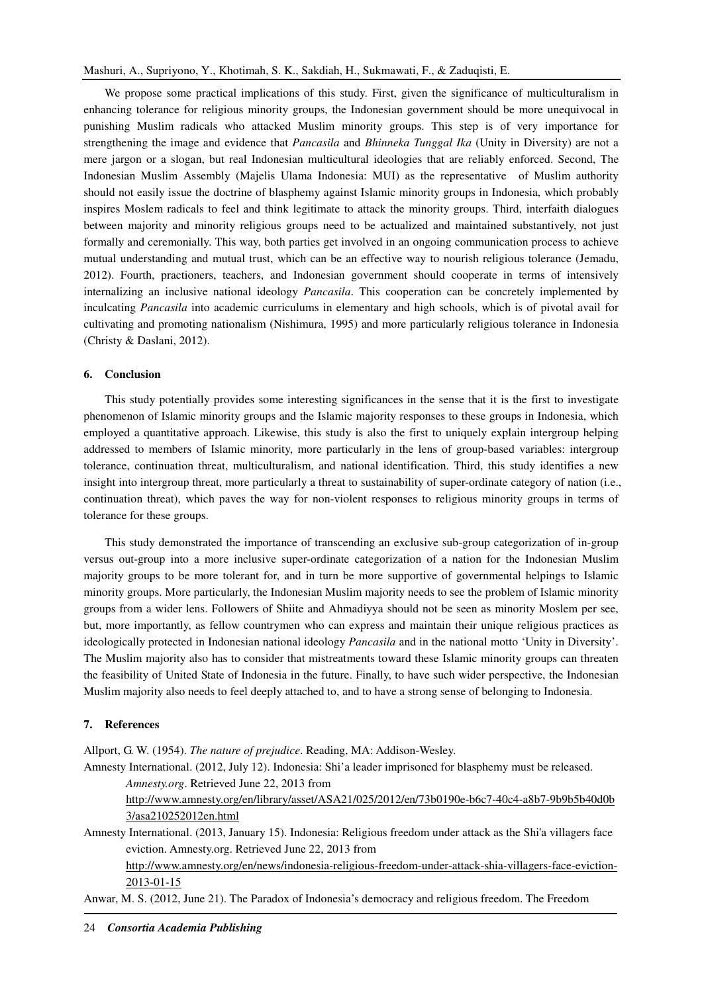We propose some practical implications of this study. First, given the significance of multiculturalism in enhancing tolerance for religious minority groups, the Indonesian government should be more unequivocal in punishing Muslim radicals who attacked Muslim minority groups. This step is of very importance for strengthening the image and evidence that *Pancasila* and *Bhinneka Tunggal Ika* (Unity in Diversity) are not a mere jargon or a slogan, but real Indonesian multicultural ideologies that are reliably enforced. Second, The Indonesian Muslim Assembly (Majelis Ulama Indonesia: MUI) as the representative of Muslim authority should not easily issue the doctrine of blasphemy against Islamic minority groups in Indonesia, which probably inspires Moslem radicals to feel and think legitimate to attack the minority groups. Third, interfaith dialogues between majority and minority religious groups need to be actualized and maintained substantively, not just formally and ceremonially. This way, both parties get involved in an ongoing communication process to achieve mutual understanding and mutual trust, which can be an effective way to nourish religious tolerance (Jemadu, 2012). Fourth, practioners, teachers, and Indonesian government should cooperate in terms of intensively internalizing an inclusive national ideology *Pancasila*. This cooperation can be concretely implemented by inculcating *Pancasila* into academic curriculums in elementary and high schools, which is of pivotal avail for cultivating and promoting nationalism (Nishimura, 1995) and more particularly religious tolerance in Indonesia (Christy & Daslani, 2012).

#### **6. Conclusion**

This study potentially provides some interesting significances in the sense that it is the first to investigate phenomenon of Islamic minority groups and the Islamic majority responses to these groups in Indonesia, which employed a quantitative approach. Likewise, this study is also the first to uniquely explain intergroup helping addressed to members of Islamic minority, more particularly in the lens of group-based variables: intergroup tolerance, continuation threat, multiculturalism, and national identification. Third, this study identifies a new insight into intergroup threat, more particularly a threat to sustainability of super-ordinate category of nation (i.e., continuation threat), which paves the way for non-violent responses to religious minority groups in terms of tolerance for these groups.

This study demonstrated the importance of transcending an exclusive sub-group categorization of in-group versus out-group into a more inclusive super-ordinate categorization of a nation for the Indonesian Muslim majority groups to be more tolerant for, and in turn be more supportive of governmental helpings to Islamic minority groups. More particularly, the Indonesian Muslim majority needs to see the problem of Islamic minority groups from a wider lens. Followers of Shiite and Ahmadiyya should not be seen as minority Moslem per see, but, more importantly, as fellow countrymen who can express and maintain their unique religious practices as ideologically protected in Indonesian national ideology *Pancasila* and in the national motto 'Unity in Diversity'. The Muslim majority also has to consider that mistreatments toward these Islamic minority groups can threaten the feasibility of United State of Indonesia in the future. Finally, to have such wider perspective, the Indonesian Muslim majority also needs to feel deeply attached to, and to have a strong sense of belonging to Indonesia.

#### **7. References**

Allport, G. W. (1954). *The nature of prejudice*. Reading, MA: Addison-Wesley.

Amnesty International. (2012, July 12). Indonesia: Shi'a leader imprisoned for blasphemy must be released. *Amnesty.org*. Retrieved June 22, 2013 from

## http://www.amnesty.org/en/library/asset/ASA21/025/2012/en/73b0190e-b6c7-40c4-a8b7-9b9b5b40d0b 3/asa210252012en.html

Amnesty International. (2013, January 15). Indonesia: Religious freedom under attack as the Shi'a villagers face eviction. Amnesty.org. Retrieved June 22, 2013 from

http://www.amnesty.org/en/news/indonesia-religious-freedom-under-attack-shia-villagers-face-eviction-2013-01-15

Anwar, M. S. (2012, June 21). The Paradox of Indonesia's democracy and religious freedom. The Freedom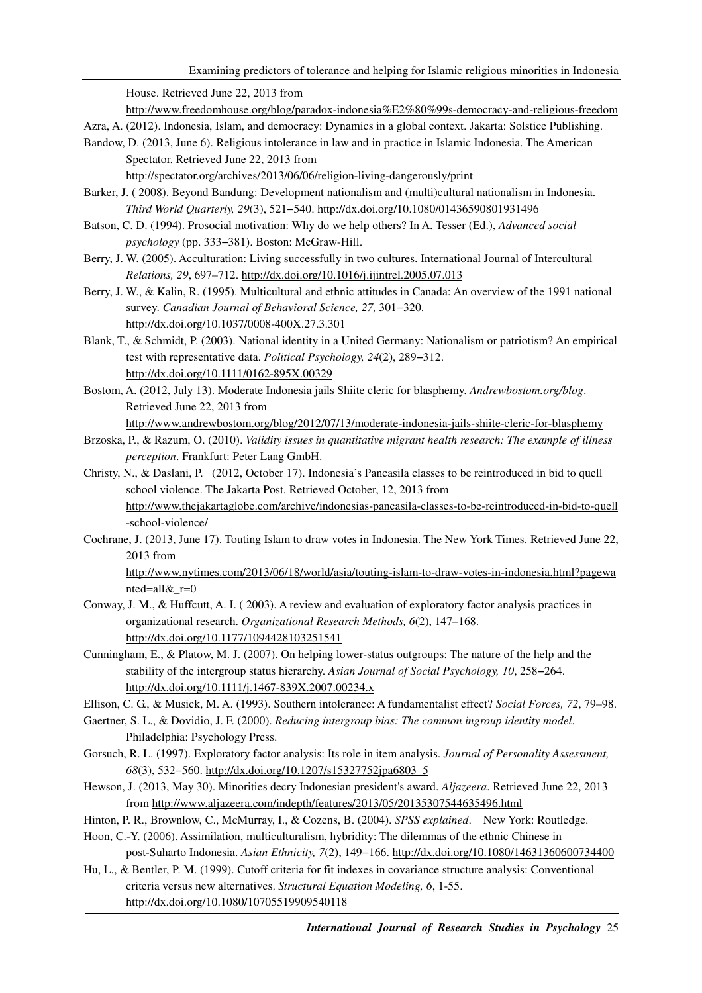Examining predictors of tolerance and helping for Islamic religious minorities in Indonesia

House. Retrieved June 22, 2013 from

http://www.freedomhouse.org/blog/paradox-indonesia%E2%80%99s-democracy-and-religious-freedom

Azra, A. (2012). Indonesia, Islam, and democracy: Dynamics in a global context. Jakarta: Solstice Publishing.

Bandow, D. (2013, June 6). Religious intolerance in law and in practice in Islamic Indonesia. The American Spectator. Retrieved June 22, 2013 from

http://spectator.org/archives/2013/06/06/religion-living-dangerously/print

- Barker, J. ( 2008). Beyond Bandung: Development nationalism and (multi)cultural nationalism in Indonesia. *Third World Quarterly, 29*(3), 521−540. http://dx.doi.org/10.1080/01436590801931496
- Batson, C. D. (1994). Prosocial motivation: Why do we help others? In A. Tesser (Ed.), *Advanced social psychology* (pp. 333−381). Boston: McGraw-Hill.
- Berry, J. W. (2005). Acculturation: Living successfully in two cultures. International Journal of Intercultural *Relations, 29*, 697–712. http://dx.doi.org/10.1016/j.ijintrel.2005.07.013
- Berry, J. W., & Kalin, R. (1995). Multicultural and ethnic attitudes in Canada: An overview of the 1991 national survey. *Canadian Journal of Behavioral Science, 27,* 301−320. http://dx.doi.org/10.1037/0008-400X.27.3.301
- Blank, T., & Schmidt, P. (2003). National identity in a United Germany: Nationalism or patriotism? An empirical test with representative data. *Political Psychology, 24*(2), 289**−**312. http://dx.doi.org/10.1111/0162-895X.00329
- Bostom, A. (2012, July 13). Moderate Indonesia jails Shiite cleric for blasphemy. *Andrewbostom.org/blog*. Retrieved June 22, 2013 from

http://www.andrewbostom.org/blog/2012/07/13/moderate-indonesia-jails-shiite-cleric-for-blasphemy

- Brzoska, P., & Razum, O. (2010). *Validity issues in quantitative migrant health research: The example of illness perception*. Frankfurt: Peter Lang GmbH.
- Christy, N., & Daslani, P. (2012, October 17). Indonesia's Pancasila classes to be reintroduced in bid to quell school violence. The Jakarta Post. Retrieved October, 12, 2013 from http://www.thejakartaglobe.com/archive/indonesias-pancasila-classes-to-be-reintroduced-in-bid-to-quell -school-violence/
- Cochrane, J. (2013, June 17). Touting Islam to draw votes in Indonesia. The New York Times. Retrieved June 22, 2013 from http://www.nytimes.com/2013/06/18/world/asia/touting-islam-to-draw-votes-in-indonesia.html?pagewa

nted=all&\_r=0

- Conway, J. M., & Huffcutt, A. I. ( 2003). A review and evaluation of exploratory factor analysis practices in organizational research. *Organizational Research Methods, 6*(2), 147–168. http://dx.doi.org/10.1177/1094428103251541
- Cunningham, E., & Platow, M. J. (2007). On helping lower-status outgroups: The nature of the help and the stability of the intergroup status hierarchy. *Asian Journal of Social Psychology, 10*, 258**−**264. http://dx.doi.org/10.1111/j.1467-839X.2007.00234.x

Ellison, C. G., & Musick, M. A. (1993). Southern intolerance: A fundamentalist effect? *Social Forces, 72*, 79–98.

- Gaertner, S. L., & Dovidio, J. F. (2000). *Reducing intergroup bias: The common ingroup identity model*. Philadelphia: Psychology Press.
- Gorsuch, R. L. (1997). Exploratory factor analysis: Its role in item analysis. *Journal of Personality Assessment, 68*(3), 532−560. http://dx.doi.org/10.1207/s15327752jpa6803\_5
- Hewson, J. (2013, May 30). Minorities decry Indonesian president's award. *Aljazeera*. Retrieved June 22, 2013 from http://www.aljazeera.com/indepth/features/2013/05/20135307544635496.html
- Hinton, P. R., Brownlow, C., McMurray, I., & Cozens, B. (2004). *SPSS explained*. New York: Routledge.
- Hoon, C.-Y. (2006). Assimilation, multiculturalism, hybridity: The dilemmas of the ethnic Chinese in post-Suharto Indonesia. *Asian Ethnicity, 7*(2), 149−166. http://dx.doi.org/10.1080/14631360600734400
- Hu, L., & Bentler, P. M. (1999). Cutoff criteria for fit indexes in covariance structure analysis: Conventional criteria versus new alternatives. *Structural Equation Modeling, 6*, 1-55. http://dx.doi.org/10.1080/10705519909540118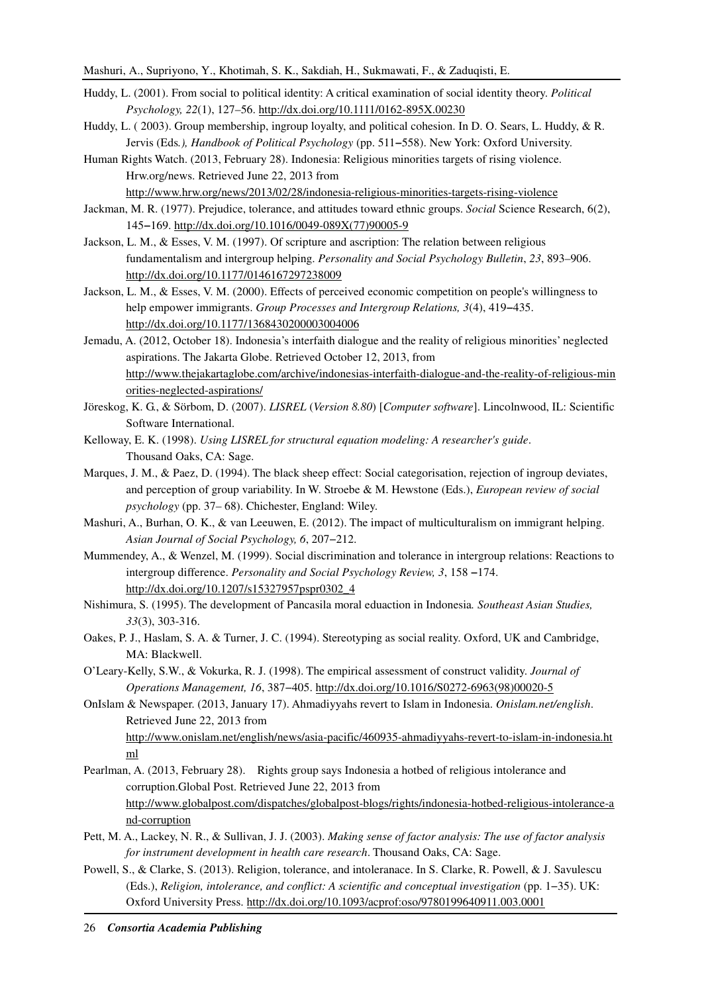- Huddy, L. (2001). From social to political identity: A critical examination of social identity theory. *Political Psychology, 22*(1), 127–56. http://dx.doi.org/10.1111/0162-895X.00230
- Huddy, L. ( 2003). Group membership, ingroup loyalty, and political cohesion. In D. O. Sears, L. Huddy, & R. Jervis (Eds*.), Handbook of Political Psychology* (pp. 511**−**558). New York: Oxford University.
- Human Rights Watch. (2013, February 28). Indonesia: Religious minorities targets of rising violence. Hrw.org/news. Retrieved June 22, 2013 from
	- http://www.hrw.org/news/2013/02/28/indonesia-religious-minorities-targets-rising-violence
- Jackman, M. R. (1977). Prejudice, tolerance, and attitudes toward ethnic groups. *Social* Science Research, 6(2), 145**−**169. http://dx.doi.org/10.1016/0049-089X(77)90005-9
- Jackson, L. M., & Esses, V. M. (1997). Of scripture and ascription: The relation between religious fundamentalism and intergroup helping. *Personality and Social Psychology Bulletin*, *23*, 893–906. http://dx.doi.org/10.1177/0146167297238009
- Jackson, L. M., & Esses, V. M. (2000). Effects of perceived economic competition on people's willingness to help empower immigrants. *Group Processes and Intergroup Relations, 3*(4), 419**−**435. http://dx.doi.org/10.1177/1368430200003004006
- Jemadu, A. (2012, October 18). Indonesia's interfaith dialogue and the reality of religious minorities' neglected aspirations. The Jakarta Globe. Retrieved October 12, 2013, from http://www.thejakartaglobe.com/archive/indonesias-interfaith-dialogue-and-the-reality-of-religious-min orities-neglected-aspirations/
- Jöreskog, K. G., & Sörbom, D. (2007). *LISREL* (*Version 8.80*) [*Computer software*]. Lincolnwood, IL: Scientific Software International.
- Kelloway, E. K. (1998). *Using LISREL for structural equation modeling: A researcher's guide*. Thousand Oaks, CA: Sage.
- Marques, J. M., & Paez, D. (1994). The black sheep effect: Social categorisation, rejection of ingroup deviates, and perception of group variability. In W. Stroebe & M. Hewstone (Eds.), *European review of social psychology* (pp. 37– 68). Chichester, England: Wiley.
- Mashuri, A., Burhan, O. K., & van Leeuwen, E. (2012). The impact of multiculturalism on immigrant helping. *Asian Journal of Social Psychology, 6*, 207−212.
- Mummendey, A., & Wenzel, M. (1999). Social discrimination and tolerance in intergroup relations: Reactions to intergroup difference. *Personality and Social Psychology Review, 3*, 158 **−**174. http://dx.doi.org/10.1207/s15327957pspr0302\_4
- Nishimura, S. (1995). The development of Pancasila moral eduaction in Indonesia*. Southeast Asian Studies, 33*(3), 303-316.
- Oakes, P. J., Haslam, S. A. & Turner, J. C. (1994). Stereotyping as social reality. Oxford, UK and Cambridge, MA: Blackwell.
- O'Leary-Kelly, S.W., & Vokurka, R. J. (1998). The empirical assessment of construct validity. *Journal of Operations Management, 16*, 387−405. http://dx.doi.org/10.1016/S0272-6963(98)00020-5
- OnIslam & Newspaper. (2013, January 17). Ahmadiyyahs revert to Islam in Indonesia. *Onislam.net/english*. Retrieved June 22, 2013 from http://www.onislam.net/english/news/asia-pacific/460935-ahmadiyyahs-revert-to-islam-in-indonesia.ht
	- ml

Pearlman, A. (2013, February 28). Rights group says Indonesia a hotbed of religious intolerance and corruption.Global Post. Retrieved June 22, 2013 from

http://www.globalpost.com/dispatches/globalpost-blogs/rights/indonesia-hotbed-religious-intolerance-a nd-corruption

- Pett, M. A., Lackey, N. R., & Sullivan, J. J. (2003). *Making sense of factor analysis: The use of factor analysis for instrument development in health care research*. Thousand Oaks, CA: Sage.
- Powell, S., & Clarke, S. (2013). Religion, tolerance, and intoleranace. In S. Clarke, R. Powell, & J. Savulescu (Eds.), *Religion, intolerance, and conflict: A scientific and conceptual investigation* (pp. 1−35). UK: Oxford University Press. http://dx.doi.org/10.1093/acprof:oso/9780199640911.003.0001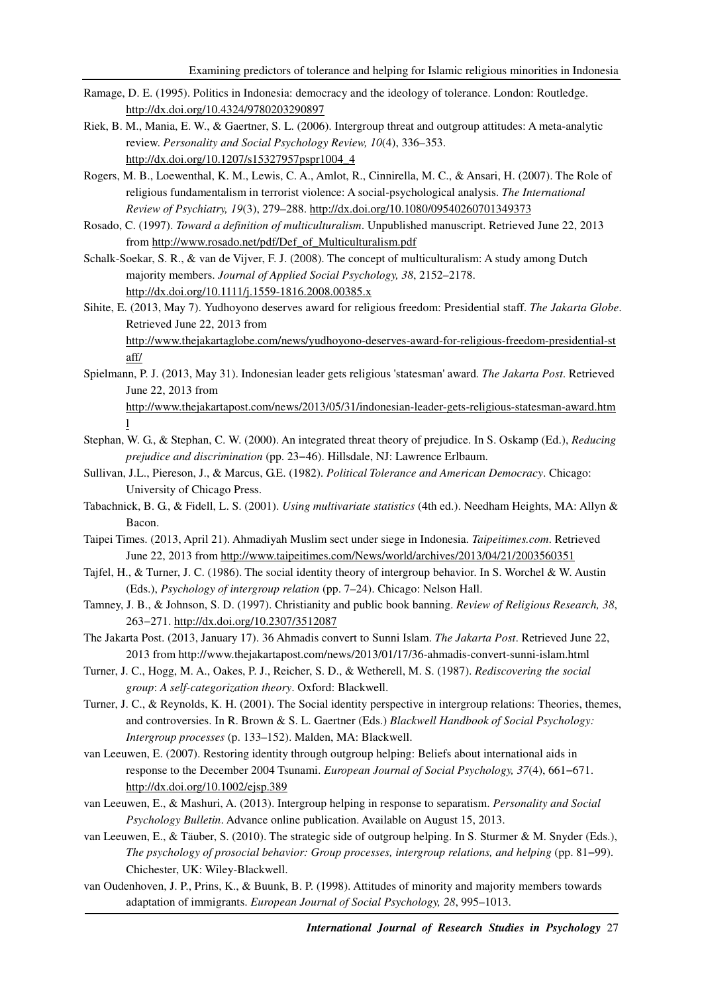- Ramage, D. E. (1995). Politics in Indonesia: democracy and the ideology of tolerance. London: Routledge. http://dx.doi.org/10.4324/9780203290897
- Riek, B. M., Mania, E. W., & Gaertner, S. L. (2006). Intergroup threat and outgroup attitudes: A meta-analytic review. *Personality and Social Psychology Review, 10*(4), 336–353. http://dx.doi.org/10.1207/s15327957pspr1004\_4
- Rogers, M. B., Loewenthal, K. M., Lewis, C. A., Amlot, R., Cinnirella, M. C., & Ansari, H. (2007). The Role of religious fundamentalism in terrorist violence: A social-psychological analysis. *The International Review of Psychiatry, 19*(3), 279–288. http://dx.doi.org/10.1080/09540260701349373
- Rosado, C. (1997). *Toward a definition of multiculturalism*. Unpublished manuscript. Retrieved June 22, 2013 from http://www.rosado.net/pdf/Def\_of\_Multiculturalism.pdf
- Schalk-Soekar, S. R., & van de Vijver, F. J. (2008). The concept of multiculturalism: A study among Dutch majority members. *Journal of Applied Social Psychology, 38*, 2152–2178. http://dx.doi.org/10.1111/j.1559-1816.2008.00385.x

aff/

- Sihite, E. (2013, May 7). Yudhoyono deserves award for religious freedom: Presidential staff. *The Jakarta Globe*. Retrieved June 22, 2013 from http://www.thejakartaglobe.com/news/yudhoyono-deserves-award-for-religious-freedom-presidential-st
- Spielmann, P. J. (2013, May 31). Indonesian leader gets religious 'statesman' award*. The Jakarta Post*. Retrieved June 22, 2013 from

http://www.thejakartapost.com/news/2013/05/31/indonesian-leader-gets-religious-statesman-award.htm l

- Stephan, W. G., & Stephan, C. W. (2000). An integrated threat theory of prejudice. In S. Oskamp (Ed.), *Reducing prejudice and discrimination* (pp. 23**−**46). Hillsdale, NJ: Lawrence Erlbaum.
- Sullivan, J.L., Piereson, J., & Marcus, G.E. (1982). *Political Tolerance and American Democracy*. Chicago: University of Chicago Press.
- Tabachnick, B. G., & Fidell, L. S. (2001). *Using multivariate statistics* (4th ed.). Needham Heights, MA: Allyn & Bacon.
- Taipei Times. (2013, April 21). Ahmadiyah Muslim sect under siege in Indonesia. *Taipeitimes.com*. Retrieved June 22, 2013 from http://www.taipeitimes.com/News/world/archives/2013/04/21/2003560351
- Tajfel, H., & Turner, J. C. (1986). The social identity theory of intergroup behavior. In S. Worchel & W. Austin (Eds.), *Psychology of intergroup relation* (pp. 7–24). Chicago: Nelson Hall.
- Tamney, J. B., & Johnson, S. D. (1997). Christianity and public book banning. *Review of Religious Research, 38*, 263−271. http://dx.doi.org/10.2307/3512087
- The Jakarta Post. (2013, January 17). 36 Ahmadis convert to Sunni Islam. *The Jakarta Post*. Retrieved June 22, 2013 from http://www.thejakartapost.com/news/2013/01/17/36-ahmadis-convert-sunni-islam.html
- Turner, J. C., Hogg, M. A., Oakes, P. J., Reicher, S. D., & Wetherell, M. S. (1987). *Rediscovering the social group*: *A self-categorization theory*. Oxford: Blackwell.
- Turner, J. C., & Reynolds, K. H. (2001). The Social identity perspective in intergroup relations: Theories, themes, and controversies. In R. Brown & S. L. Gaertner (Eds.) *Blackwell Handbook of Social Psychology: Intergroup processes* (p. 133–152). Malden, MA: Blackwell.
- van Leeuwen, E. (2007). Restoring identity through outgroup helping: Beliefs about international aids in response to the December 2004 Tsunami. *European Journal of Social Psychology, 37*(4), 661**−**671. http://dx.doi.org/10.1002/ejsp.389
- van Leeuwen, E., & Mashuri, A. (2013). Intergroup helping in response to separatism. *Personality and Social Psychology Bulletin*. Advance online publication. Available on August 15, 2013.
- van Leeuwen, E., & Täuber, S. (2010). The strategic side of outgroup helping. In S. Sturmer & M. Snyder (Eds.), *The psychology of prosocial behavior: Group processes, intergroup relations, and helping* (pp. 81**−**99). Chichester, UK: Wiley-Blackwell.
- van Oudenhoven, J. P., Prins, K., & Buunk, B. P. (1998). Attitudes of minority and majority members towards adaptation of immigrants. *European Journal of Social Psychology, 28*, 995–1013.